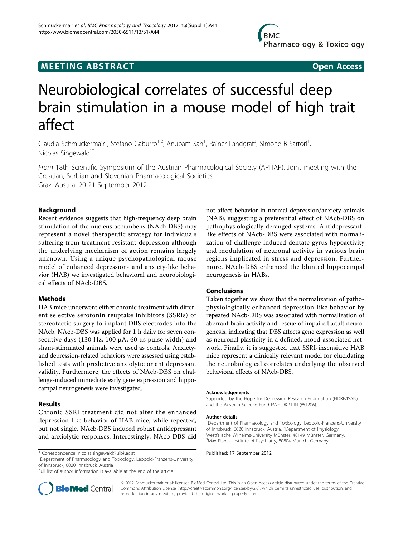# **MEETING ABSTRACT ACCESS**

# Neurobiological correlates of successful deep brain stimulation in a mouse model of high trait affect

Claudia Schmuckermair<sup>1</sup>, Stefano Gaburro<sup>1,2</sup>, Anupam Sah<sup>1</sup>, Rainer Landgraf<sup>3</sup>, Simone B Sartori<sup>1</sup> , Nicolas Singewald<sup>1\*</sup>

From 18th Scientific Symposium of the Austrian Pharmacological Society (APHAR). Joint meeting with the Croatian, Serbian and Slovenian Pharmacological Societies. Graz, Austria. 20-21 September 2012

## Background

Recent evidence suggests that high-frequency deep brain stimulation of the nucleus accumbens (NAcb-DBS) may represent a novel therapeutic strategy for individuals suffering from treatment-resistant depression although the underlying mechanism of action remains largely unknown. Using a unique psychopathological mouse model of enhanced depression- and anxiety-like behavior (HAB) we investigated behavioral and neurobiological effects of NAcb-DBS.

#### **Methods**

HAB mice underwent either chronic treatment with different selective serotonin reuptake inhibitors (SSRIs) or stereotactic surgery to implant DBS electrodes into the NAcb. NAcb-DBS was applied for 1 h daily for seven consecutive days (130 Hz, 100  $\mu$ A, 60  $\mu$ s pulse width) and sham-stimulated animals were used as controls. Anxietyand depression-related behaviors were assessed using established tests with predictive anxiolytic or antidepressant validity. Furthermore, the effects of NAcb-DBS on challenge-induced immediate early gene expression and hippocampal neurogenesis were investigated.

#### Results

Chronic SSRI treatment did not alter the enhanced depression-like behavior of HAB mice, while repeated, but not single, NAcb-DBS induced robust antidepressant and anxiolytic responses. Interestingly, NAcb-DBS did

\* Correspondence: [nicolas.singewald@uibk.ac.at](mailto:nicolas.singewald@uibk.ac.at) **Proper 2012**<br><sup>1</sup> Department of Pharmacology and Toxicology, Leopold-Franzens-University **Published: 17 September 2012** of Innsbruck, 6020 Innsbruck, Austria

Full list of author information is available at the end of the article



not affect behavior in normal depression/anxiety animals (NAB), suggesting a preferential effect of NAcb-DBS on pathophysiologically deranged systems. Antidepressantlike effects of NAcb-DBS were associated with normalization of challenge-induced dentate gyrus hypoactivity and modulation of neuronal activity in various brain regions implicated in stress and depression. Furthermore, NAcb-DBS enhanced the blunted hippocampal neurogenesis in HABs.

#### Conclusions

Taken together we show that the normalization of pathophysiologically enhanced depression-like behavior by repeated NAcb-DBS was associated with normalization of aberrant brain activity and rescue of impaired adult neurogenesis, indicating that DBS affects gene expression as well as neuronal plasticity in a defined, mood-associated network. Finally, it is suggested that SSRI-insensitive HAB mice represent a clinically relevant model for elucidating the neurobiological correlates underlying the observed behavioral effects of NAcb-DBS.

#### Acknowledgements

Supported by the Hope for Depression Research Foundation (HDRF/ISAN) and the Austrian Science Fund FWF DK SPIN (W1206).

#### Author details

<sup>1</sup>Department of Pharmacology and Toxicology, Leopold-Franzens-University of Innsbruck, 6020 Innsbruck, Austria. <sup>2</sup>Department of Physiology, Westfälische Wilhelms-University Münster, 48149 Münster, Germany. 3 Max Planck Institute of Psychiatry, 80804 Munich, Germany.

© 2012 Schmuckermair et al; licensee BioMed Central Ltd. This is an Open Access article distributed under the terms of the Creative Commons Attribution License [\(http://creativecommons.org/licenses/by/2.0](http://creativecommons.org/licenses/by/2.0)), which permits unrestricted use, distribution, and reproduction in any medium, provided the original work is properly cited.